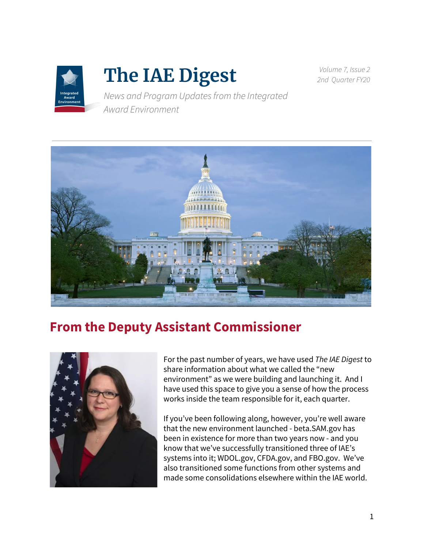

# **The IAE Digest**

*Volume 7, Issue 2 2nd Quarter FY20*

*News and Program Updatesfrom the Integrated Award Environment*



## **From the Deputy Assistant Commissioner**



For the past number of years, we have used *The IAE Digest* to share information about what we called the "new environment" as we were building and launching it. And I have used this space to give you a sense of how the process works inside the team responsible for it, each quarter.

If you've been following along, however, you're well aware that the new environment launched - beta.SAM.gov has been in existence for more than two years now - and you know that we've successfully transitioned three of IAE's systems into it; WDOL.gov, CFDA.gov, and FBO.gov. We've also transitioned some functions from other systems and made some consolidations elsewhere within the IAE world.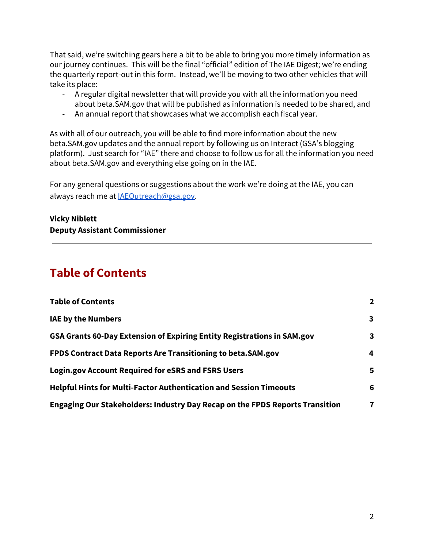That said, we're switching gears here a bit to be able to bring you more timely information as our journey continues. This will be the final "official" edition of The IAE Digest; we're ending the quarterly report-out in this form. Instead, we'll be moving to two other vehicles that will take its place:

- A regular digital newsletter that will provide you with all the information you need about beta.SAM.gov that will be published as information is needed to be shared, and
- An annual report that showcases what we accomplish each fiscal year.

As with all of our outreach, you will be able to find more information about the new beta.SAM.gov updates and the annual report by following us on Interact (GSA's blogging platform). Just search for "IAE" there and choose to follow us for all the information you need about beta.SAM.gov and everything else going on in the IAE.

For any general questions or suggestions about the work we're doing at the IAE, you can always reach me at [IAEOutreach@gsa.gov](mailto:IAEOutreach@gsa.gov).

**Vicky Niblett Deputy Assistant Commissioner**

### <span id="page-1-0"></span>**Table of Contents**

| <b>Table of Contents</b>                                                                                                                                                                             | $\mathbf{2}$ |
|------------------------------------------------------------------------------------------------------------------------------------------------------------------------------------------------------|--------------|
| <b>IAE by the Numbers</b>                                                                                                                                                                            | 3            |
| GSA Grants 60-Day Extension of Expiring Entity Registrations in SAM.gov<br>FPDS Contract Data Reports Are Transitioning to beta.SAM.gov<br><b>Login.gov Account Required for eSRS and FSRS Users</b> | 3            |
|                                                                                                                                                                                                      | 4            |
|                                                                                                                                                                                                      | 5            |
| <b>Helpful Hints for Multi-Factor Authentication and Session Timeouts</b>                                                                                                                            | 6            |
| Engaging Our Stakeholders: Industry Day Recap on the FPDS Reports Transition                                                                                                                         | 7            |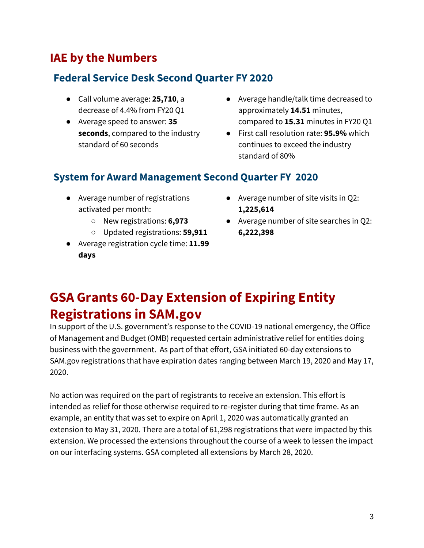#### <span id="page-2-0"></span>**IAE by the Numbers**

#### **Federal Service Desk Second Quarter FY 2020**

- Call volume average: **25,710**, a decrease of 4.4% from FY20 Q1
- Average speed to answer: **35 seconds**, compared to the industry standard of 60 seconds
- Average handle/talk time decreased to approximately **14.51** minutes, compared to **15.31** minutes in FY20 Q1
- First call resolution rate: **95.9%** which continues to exceed the industry standard of 80%

#### **System for Award Management Second Quarter FY 2020**

- Average number of registrations activated per month:
	- New registrations: **6,973**
	- Updated registrations: **59,911**
- Average registration cycle time: **11.99 days**
- **●** Average number of site visits in Q2: **1,225,614**
- **●** Average number of site searches in Q2: **6,222,398**

# <span id="page-2-1"></span>**GSA Grants 60-Day Extension of Expiring Entity Registrations in SAM.gov**

In support of the U.S. government's response to the COVID-19 national emergency, the Office of Management and Budget (OMB) requested certain administrative relief for entities doing business with the government. As part of that effort, GSA initiated 60-day extensions to SAM.gov registrations that have expiration dates ranging between March 19, 2020 and May 17, 2020.

No action was required on the part of registrants to receive an extension. This effort is intended as relief for those otherwise required to re-register during that time frame. As an example, an entity that was set to expire on April 1, 2020 was automatically granted an extension to May 31, 2020. There are a total of 61,298 registrations that were impacted by this extension. We processed the extensions throughout the course of a week to lessen the impact on our interfacing systems. GSA completed all extensions by March 28, 2020.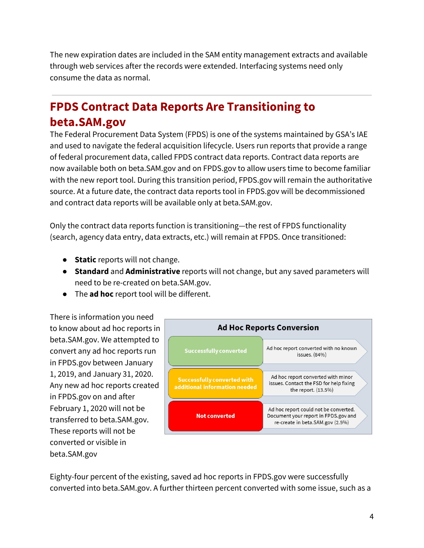The new expiration dates are included in the SAM entity management extracts and available through web services after the records were extended. Interfacing systems need only consume the data as normal.

### <span id="page-3-0"></span>**FPDS Contract Data Reports Are Transitioning to beta.SAM.gov**

The Federal Procurement Data System (FPDS) is one of the systems maintained by GSA's IAE and used to navigate the federal acquisition lifecycle. Users run reports that provide a range of federal procurement data, called FPDS contract data reports. Contract data reports are now available both on beta.SAM.gov and on FPDS.gov to allow users time to become familiar with the new report tool. During this transition period, FPDS.gov will remain the authoritative source. At a future date, the contract data reports tool in FPDS.gov will be decommissioned and contract data reports will be available only at beta.SAM.gov.

Only the contract data reports function is transitioning—the rest of FPDS functionality (search, agency data entry, data extracts, etc.) will remain at FPDS. Once transitioned:

- **Static** reports will not change.
- **Standard** and **Administrative** reports will not change, but any saved parameters will need to be re-created on beta.SAM.gov.
- The **ad hoc** report tool will be different.

There is information you need to know about ad hoc reports in beta.SAM.gov. We attempted to convert any ad hoc reports run in FPDS.gov between January 1, 2019, and January 31, 2020. Any new ad hoc reports created in FPDS.gov on and after February 1, 2020 will not be transferred to beta.SAM.gov. These reports will not be converted or visible in beta.SAM.gov



Eighty-four percent of the existing, saved ad hoc reports in FPDS.gov were successfully converted into beta.SAM.gov. A further thirteen percent converted with some issue, such as a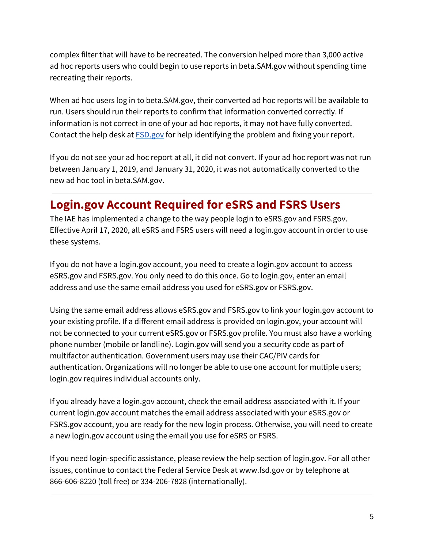complex filter that will have to be recreated. The conversion helped more than 3,000 active ad hoc reports users who could begin to use reports in beta.SAM.gov without spending time recreating their reports.

When ad hoc users log in to beta.SAM.gov, their converted ad hoc reports will be available to run. Users should run their reports to confirm that information converted correctly. If information is not correct in one of your ad hoc reports, it may not have fully converted. Contact the help desk at [FSD.gov](http://www.fsd.gov/) for help identifying the problem and fixing your report.

If you do not see your ad hoc report at all, it did not convert. If your ad hoc report was not run between January 1, 2019, and January 31, 2020, it was not automatically converted to the new ad hoc tool in beta.SAM.gov.

#### <span id="page-4-0"></span>**Login.gov Account Required for eSRS and FSRS Users**

The IAE has implemented a change to the way people login to eSRS.gov and FSRS.gov. Effective April 17, 2020, all eSRS and FSRS users will need a login.gov account in order to use these systems.

If you do not have a login.gov account, you need to create a login.gov account to access eSRS.gov and FSRS.gov. You only need to do this once. Go to login.gov, enter an email address and use the same email address you used for eSRS.gov or FSRS.gov.

Using the same email address allows eSRS.gov and FSRS.gov to link your login.gov account to your existing profile. If a different email address is provided on login.gov, your account will not be connected to your current eSRS.gov or FSRS.gov profile. You must also have a working phone number (mobile or landline). Login.gov will send you a security code as part of multifactor authentication. Government users may use their CAC/PIV cards for authentication. Organizations will no longer be able to use one account for multiple users; login.gov requires individual accounts only.

If you already have a login.gov account, check the email address associated with it. If your current login.gov account matches the email address associated with your eSRS.gov or FSRS.gov account, you are ready for the new login process. Otherwise, you will need to create a new login.gov account using the email you use for eSRS or FSRS.

If you need login-specific assistance, please review the help section of login.gov. For all other issues, continue to contact the Federal Service Desk at www.fsd.gov or by telephone at 866-606-8220 (toll free) or 334-206-7828 (internationally).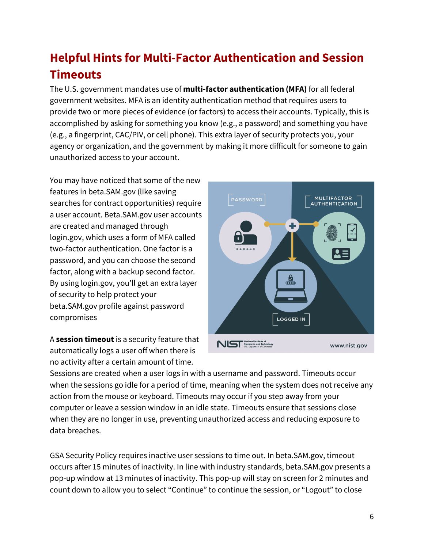# <span id="page-5-0"></span>**Helpful Hints for Multi-Factor Authentication and Session Timeouts**

The U.S. government mandates use of **multi-factor authentication (MFA)** for all federal government websites. MFA is an identity authentication method that requires users to provide two or more pieces of evidence (or factors) to access their accounts. Typically, this is accomplished by asking for something you know (e.g., a password) and something you have (e.g., a fingerprint, CAC/PIV, or cell phone). This extra layer of security protects you, your agency or organization, and the government by making it more difficult for someone to gain unauthorized access to your account.

You may have noticed that some of the new features in [beta.SAM.gov](https://beta.sam.gov/) (like saving searches for contract opportunities) require a user account. [Beta.SAM.gov](https://beta.sam.gov/) user accounts are created and managed through [login.gov](https://www.login.gov/), which uses a form of MFA called two-factor authentication. One factor is a password, and you can choose the second factor, along with a backup second factor. By using [login.gov,](https://www.login.gov/) you'll get an extra layer of security to help protect your beta.SAM.gov profile against password compromises

A **session timeout** is a security feature that automatically logs a user off when there is no activity after a certain amount of time.



Sessions are created when a user logs in with a username and password. Timeouts occur when the sessions go idle for a period of time, meaning when the system does not receive any action from the mouse or keyboard. Timeouts may occur if you step away from your computer or leave a session window in an idle state. Timeouts ensure that sessions close when they are no longer in use, preventing unauthorized access and reducing exposure to data breaches.

GSA Security Policy requires inactive user sessions to time out. In beta.SAM.gov, timeout occurs after 15 minutes of inactivity. In line with industry standards, beta.SAM.gov presents a pop-up window at 13 minutes of inactivity. This pop-up will stay on screen for 2 minutes and count down to allow you to select "Continue" to continue the session, or "Logout" to close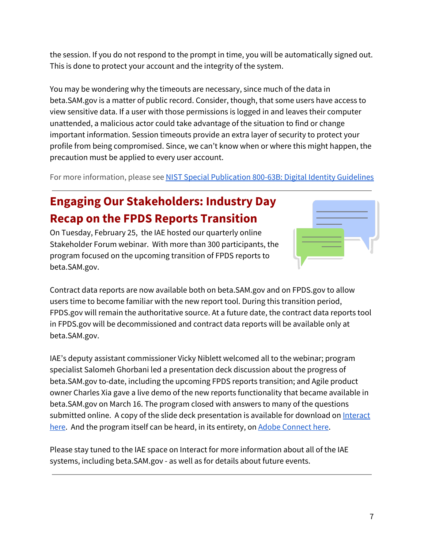the session. If you do not respond to the prompt in time, you will be automatically signed out. This is done to protect your account and the integrity of the system.

You may be wondering why the timeouts are necessary, since much of the data in beta.SAM.gov is a matter of public record. Consider, though, that some users have access to view sensitive data. If a user with those permissions is logged in and leaves their computer unattended, a malicious actor could take advantage of the situation to find or change important information. Session timeouts provide an extra layer of security to protect your profile from being compromised. Since, we can't know when or where this might happen, the precaution must be applied to every user account.

For more information, please se[e](https://pages.nist.gov/800-63-3/sp800-63b.html) NIST Special [Publication](https://pages.nist.gov/800-63-3/sp800-63b.html) 800-63B: Digital Identity Guidelines

## <span id="page-6-0"></span>**Engaging Our Stakeholders: Industry Day Recap on the FPDS Reports Transition**

On Tuesday, February 25, the IAE hosted our quarterly online Stakeholder Forum webinar. With more than 300 participants, the program focused on the upcoming transition of FPDS reports to beta.SAM.gov.



Contract data reports are now available both on beta.SAM.gov and on FPDS.gov to allow users time to become familiar with the new report tool. During this transition period, FPDS.gov will remain the authoritative source. At a future date, the contract data reports tool in FPDS.gov will be decommissioned and contract data reports will be available only at beta.SAM.gov.

IAE's deputy assistant commissioner Vicky Niblett welcomed all to the webinar; program specialist Salomeh Ghorbani led a presentation deck discussion about the progress of beta.SAM.gov to-date, including the upcoming FPDS reports transition; and Agile product owner Charles Xia gave a live demo of the new reports functionality that became available in beta.SAM.gov on March 16. The program closed with answers to many of the questions submitted online. A copy of the slide deck presentation is available for download on [Interact](https://interact.gsa.gov/document/iae-industry-day-recap-fpds-reports-transition) [here](https://interact.gsa.gov/document/iae-industry-day-recap-fpds-reports-transition). And the program itself can be heard, in its entirety, on Adobe [Connect](https://meet.gsa.gov/pdaqhj1jcpub/) here.

Please stay tuned to the IAE space on Interact for more information about all of the IAE systems, including beta.SAM.gov - as well as for details about future events.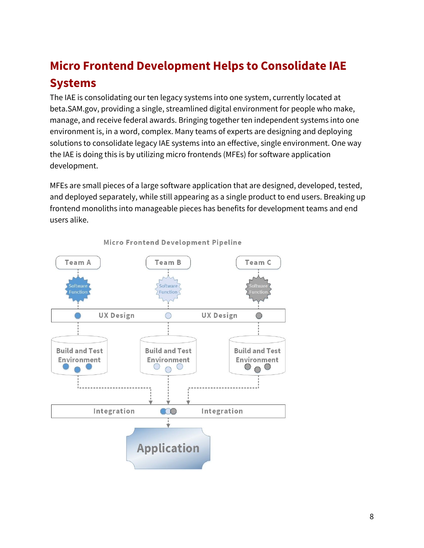# **Micro Frontend Development Helps to Consolidate IAE Systems**

The IAE is consolidating our ten legacy systems into one system, currently located at beta.SAM.gov, providing a single, streamlined digital environment for people who make, manage, and receive federal awards. Bringing together ten independent systems into one environment is, in a word, complex. Many teams of experts are designing and deploying solutions to consolidate legacy IAE systems into an effective, single environment. One way the IAE is doing this is by utilizing micro frontends (MFEs) for software application development.

MFEs are small pieces of a large software application that are designed, developed, tested, and deployed separately, while still appearing as a single product to end users. Breaking up frontend monoliths into manageable pieces has benefits for development teams and end users alike.



Micro Frontend Development Pipeline